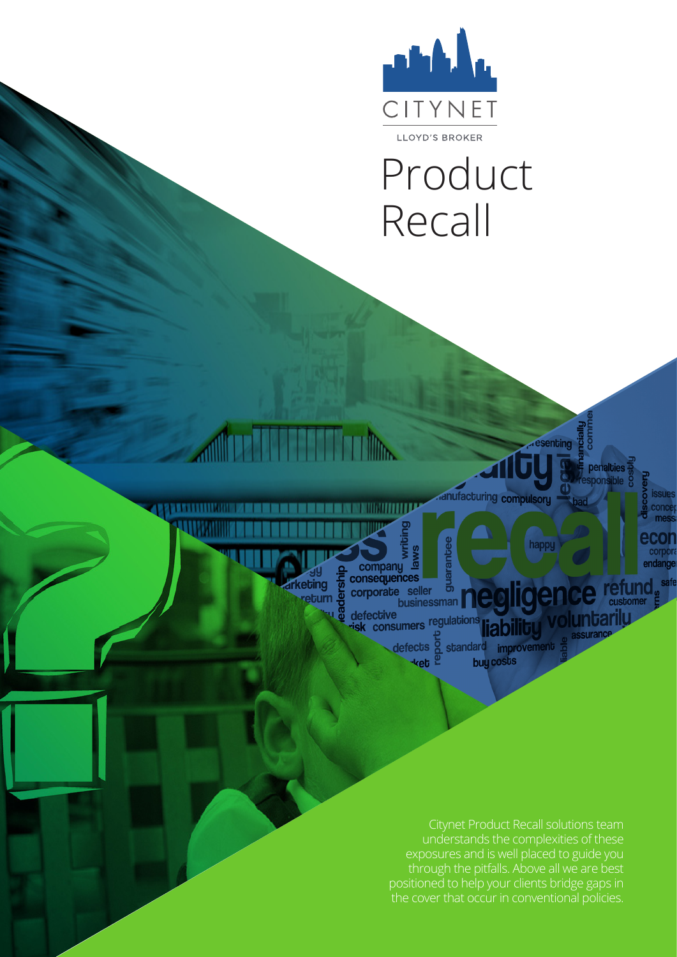

# Product Recall

anufacturing compulsory

esenting

happy

**Ide** 

endange

**refund** 

tarilu

penalties

businessman defective isk consumers defects \*ket

guarar

TIM

**THE REAL PROPERTY AND** 

company de

corporate seller

**Mine The Hotel** 

**arketing** 

reburn

**ARRIVATION AND A** 

abilit standard improvement buy costs

Citynet Product Recall solutions team understands the complexities of these exposures and is well placed to guide you through the pitfalls. Above all we are best positioned to help your clients bridge gaps in the cover that occur in conventional policies.